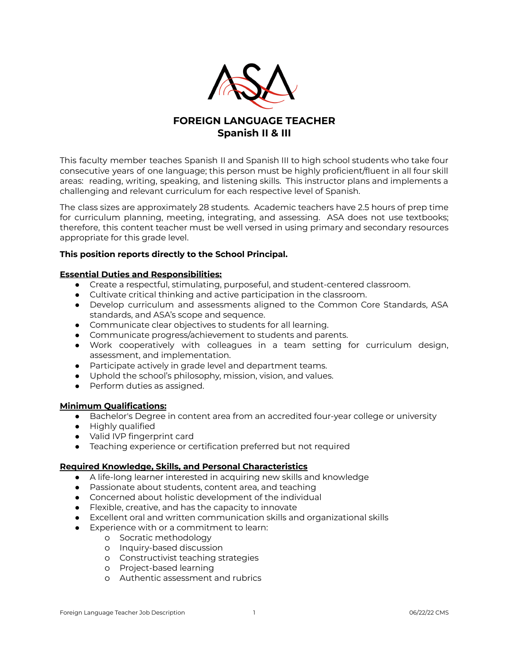

# **FOREIGN LANGUAGE TEACHER Spanish II & III**

This faculty member teaches Spanish II and Spanish III to high school students who take four consecutive years of one language; this person must be highly proficient/fluent in all four skill areas: reading, writing, speaking, and listening skills. This instructor plans and implements a challenging and relevant curriculum for each respective level of Spanish.

The class sizes are approximately 28 students. Academic teachers have 2.5 hours of prep time for curriculum planning, meeting, integrating, and assessing. ASA does not use textbooks; therefore, this content teacher must be well versed in using primary and secondary resources appropriate for this grade level.

### **This position reports directly to the School Principal.**

### **Essential Duties and Responsibilities:**

- Create a respectful, stimulating, purposeful, and student-centered classroom.
- Cultivate critical thinking and active participation in the classroom.
- Develop curriculum and assessments aligned to the Common Core Standards, ASA standards, and ASA's scope and sequence.
- Communicate clear objectives to students for all learning.
- Communicate progress/achievement to students and parents.
- Work cooperatively with colleagues in a team setting for curriculum design, assessment, and implementation.
- Participate actively in grade level and department teams.
- Uphold the school's philosophy, mission, vision, and values.
- Perform duties as assigned.

### **Minimum Qualifications:**

- Bachelor's Degree in content area from an accredited four-year college or university
- Highly qualified
- Valid IVP fingerprint card
- Teaching experience or certification preferred but not required

### **Required Knowledge, Skills, and Personal Characteristics**

- A life-long learner interested in acquiring new skills and knowledge
- Passionate about students, content area, and teaching
- Concerned about holistic development of the individual
- Flexible, creative, and has the capacity to innovate
- Excellent oral and written communication skills and organizational skills
- Experience with or a commitment to learn:
	- o Socratic methodology
	- o Inquiry-based discussion
	- o Constructivist teaching strategies
	- o Project-based learning
	- o Authentic assessment and rubrics